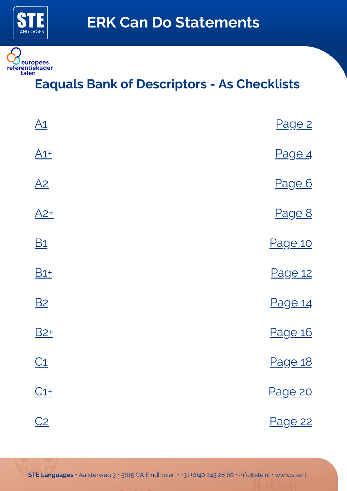



# **Eaquals Bank of Descriptors - As Checklists**

| $\underline{A1}$      | Page 2  |
|-----------------------|---------|
| $A1+$                 | Page 4  |
| $\underline{A2}$      | Page 6  |
| $A2+$                 | Page 8  |
| <u>B1</u>             | Page 10 |
| $B1+$                 | Page 12 |
| <u>B2</u>             | Page 14 |
| <u>B<sub>2</sub>+</u> | Page 16 |
| C <sub>1</sub>        | Page 18 |
| $C1+$                 | Page 20 |
| C <sub>2</sub>        | Page 22 |

**STE Languages •** Aalsterweg 3 • 5615 CA Eindhoven • +31 (0)40 245 28 60 • info@ste.nl • www.ste.nl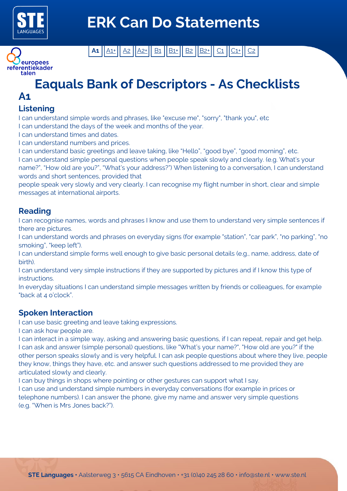<span id="page-1-0"></span>

**A1**  $||\overline{A1+}||\overline{A2}||\overline{A2+}||\overline{B1}||\overline{B1+}||\overline{B2}||\overline{B2+}||\overline{C1}||\overline{C1+}||\overline{C2}$  $||\overline{A1+}||\overline{A2}||\overline{A2+}||\overline{B1}||\overline{B1+}||\overline{B2}||\overline{B2+}||\overline{C1}||\overline{C1+}||\overline{C2}$  $||\overline{A1+}||\overline{A2}||\overline{A2+}||\overline{B1}||\overline{B1+}||\overline{B2}||\overline{B2+}||\overline{C1}||\overline{C1+}||\overline{C2}$  $||\overline{A1+}||\overline{A2}||\overline{A2+}||\overline{B1}||\overline{B1+}||\overline{B2}||\overline{B2+}||\overline{C1}||\overline{C1+}||\overline{C2}$  $||\overline{A1+}||\overline{A2}||\overline{A2+}||\overline{B1}||\overline{B1+}||\overline{B2}||\overline{B2+}||\overline{C1}||\overline{C1+}||\overline{C2}$  $||\overline{A1+}||\overline{A2}||\overline{A2+}||\overline{B1}||\overline{B1+}||\overline{B2}||\overline{B2+}||\overline{C1}||\overline{C1+}||\overline{C2}$  $||\overline{A1+}||\overline{A2}||\overline{A2+}||\overline{B1}||\overline{B1+}||\overline{B2}||\overline{B2+}||\overline{C1}||\overline{C1+}||\overline{C2}$  $||\overline{A1+}||\overline{A2}||\overline{A2+}||\overline{B1}||\overline{B1+}||\overline{B2}||\overline{B2+}||\overline{C1}||\overline{C1+}||\overline{C2}$  $||\overline{A1+}||\overline{A2}||\overline{A2+}||\overline{B1}||\overline{B1+}||\overline{B2}||\overline{B2+}||\overline{C1}||\overline{C1+}||\overline{C2}$  $||\overline{A1+}||\overline{A2}||\overline{A2+}||\overline{B1}||\overline{B1+}||\overline{B2}||\overline{B2+}||\overline{C1}||\overline{C1+}||\overline{C2}$  $||\overline{A1+}||\overline{A2}||\overline{A2+}||\overline{B1}||\overline{B1+}||\overline{B2}||\overline{B2+}||\overline{C1}||\overline{C1+}||\overline{C2}$  $||\overline{A1+}||\overline{A2}||\overline{A2+}||\overline{B1}||\overline{B1+}||\overline{B2}||\overline{B2+}||\overline{C1}||\overline{C1+}||\overline{C2}$  $||\overline{A1+}||\overline{A2}||\overline{A2+}||\overline{B1}||\overline{B1+}||\overline{B2}||\overline{B2+}||\overline{C1}||\overline{C1+}||\overline{C2}$  $||\overline{A1+}||\overline{A2}||\overline{A2+}||\overline{B1}||\overline{B1+}||\overline{B2}||\overline{B2+}||\overline{C1}||\overline{C1+}||\overline{C2}$  $||\overline{A1+}||\overline{A2}||\overline{A2+}||\overline{B1}||\overline{B1+}||\overline{B2}||\overline{B2+}||\overline{C1}||\overline{C1+}||\overline{C2}$  $||\overline{A1+}||\overline{A2}||\overline{A2+}||\overline{B1}||\overline{B1+}||\overline{B2}||\overline{B2+}||\overline{C1}||\overline{C1+}||\overline{C2}$  $||\overline{A1+}||\overline{A2}||\overline{A2+}||\overline{B1}||\overline{B1+}||\overline{B2}||\overline{B2+}||\overline{C1}||\overline{C1+}||\overline{C2}$  $||\overline{A1+}||\overline{A2}||\overline{A2+}||\overline{B1}||\overline{B1+}||\overline{B2}||\overline{B2+}||\overline{C1}||\overline{C1+}||\overline{C2}$  $||\overline{A1+}||\overline{A2}||\overline{A2+}||\overline{B1}||\overline{B1+}||\overline{B2}||\overline{B2+}||\overline{C1}||\overline{C1+}||\overline{C2}$  $||\overline{A1+}||\overline{A2}||\overline{A2+}||\overline{B1}||\overline{B1+}||\overline{B2}||\overline{B2+}||\overline{C1}||\overline{C1+}||\overline{C2}$  $||\overline{A1+}||\overline{A2}||\overline{A2+}||\overline{B1}||\overline{B1+}||\overline{B2}||\overline{B2+}||\overline{C1}||\overline{C1+}||\overline{C2}$ 

europees eferentiekader talen

# **Eaquals Bank of Descriptors - As Checklists**

# **A1**

#### **Listening**

I can understand simple words and phrases, like "excuse me", "sorry", "thank you", etc

I can understand the days of the week and months of the year.

I can understand times and dates.

I can understand numbers and prices.

I can understand basic greetings and leave taking, like "Hello", "good bye", "good morning", etc.

I can understand simple personal questions when people speak slowly and clearly. (e.g. What's your name?", "How old are you?", "What's your address?") When listening to a conversation, I can understand words and short sentences, provided that

people speak very slowly and very clearly. I can recognise my flight number in short, clear and simple messages at international airports.

## **Reading**

I can recognise names, words and phrases I know and use them to understand very simple sentences if there are pictures.

I can understand words and phrases on everyday signs (for example "station", "car park", "no parking", "no smoking", "keep left").

I can understand simple forms well enough to give basic personal details (e.g., name, address, date of birth).

I can understand very simple instructions if they are supported by pictures and if I know this type of instructions.

In everyday situations I can understand simple messages written by friends or colleagues, for example "back at 4 o'clock".

#### **Spoken Interaction**

I can use basic greeting and leave taking expressions.

I can ask how people are.

I can interact in a simple way, asking and answering basic questions, if I can repeat, repair and get help. I can ask and answer (simple personal) questions, like "What's your name?", "How old are you?" if the other person speaks slowly and is very helpful. I can ask people questions about where they live, people they know, things they have, etc. and answer such questions addressed to me provided they are articulated slowly and clearly.

I can buy things in shops where pointing or other gestures can support what I say.

I can use and understand simple numbers in everyday conversations (for example in prices or telephone numbers). I can answer the phone, give my name and answer very simple questions (e.g. "When is Mrs Jones back?").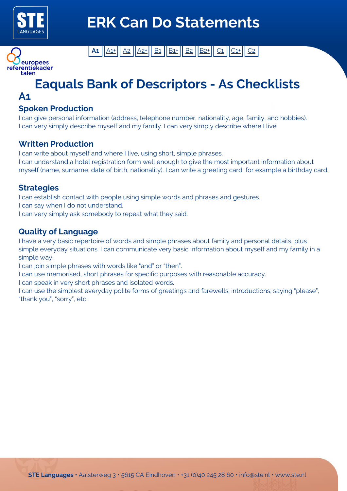

**A1**  $||\overline{A1+}||\overline{A2}||\overline{A2+}||\overline{B1}||\overline{B1+}||\overline{B2}||\overline{B2+}||\overline{C1}||\overline{C1+}||\overline{C2}$  $||\overline{A1+}||\overline{A2}||\overline{A2+}||\overline{B1}||\overline{B1+}||\overline{B2}||\overline{B2+}||\overline{C1}||\overline{C1+}||\overline{C2}$  $||\overline{A1+}||\overline{A2}||\overline{A2+}||\overline{B1}||\overline{B1+}||\overline{B2}||\overline{B2+}||\overline{C1}||\overline{C1+}||\overline{C2}$  $||\overline{A1+}||\overline{A2}||\overline{A2+}||\overline{B1}||\overline{B1+}||\overline{B2}||\overline{B2+}||\overline{C1}||\overline{C1+}||\overline{C2}$  $||\overline{A1+}||\overline{A2}||\overline{A2+}||\overline{B1}||\overline{B1+}||\overline{B2}||\overline{B2+}||\overline{C1}||\overline{C1+}||\overline{C2}$  $||\overline{A1+}||\overline{A2}||\overline{A2+}||\overline{B1}||\overline{B1+}||\overline{B2}||\overline{B2+}||\overline{C1}||\overline{C1+}||\overline{C2}$  $||\overline{A1+}||\overline{A2}||\overline{A2+}||\overline{B1}||\overline{B1+}||\overline{B2}||\overline{B2+}||\overline{C1}||\overline{C1+}||\overline{C2}$  $||\overline{A1+}||\overline{A2}||\overline{A2+}||\overline{B1}||\overline{B1+}||\overline{B2}||\overline{B2+}||\overline{C1}||\overline{C1+}||\overline{C2}$  $||\overline{A1+}||\overline{A2}||\overline{A2+}||\overline{B1}||\overline{B1+}||\overline{B2}||\overline{B2+}||\overline{C1}||\overline{C1+}||\overline{C2}$  $||\overline{A1+}||\overline{A2}||\overline{A2+}||\overline{B1}||\overline{B1+}||\overline{B2}||\overline{B2+}||\overline{C1}||\overline{C1+}||\overline{C2}$  $||\overline{A1+}||\overline{A2}||\overline{A2+}||\overline{B1}||\overline{B1+}||\overline{B2}||\overline{B2+}||\overline{C1}||\overline{C1+}||\overline{C2}$  $||\overline{A1+}||\overline{A2}||\overline{A2+}||\overline{B1}||\overline{B1+}||\overline{B2}||\overline{B2+}||\overline{C1}||\overline{C1+}||\overline{C2}$  $||\overline{A1+}||\overline{A2}||\overline{A2+}||\overline{B1}||\overline{B1+}||\overline{B2}||\overline{B2+}||\overline{C1}||\overline{C1+}||\overline{C2}$  $||\overline{A1+}||\overline{A2}||\overline{A2+}||\overline{B1}||\overline{B1+}||\overline{B2}||\overline{B2+}||\overline{C1}||\overline{C1+}||\overline{C2}$  $||\overline{A1+}||\overline{A2}||\overline{A2+}||\overline{B1}||\overline{B1+}||\overline{B2}||\overline{B2+}||\overline{C1}||\overline{C1+}||\overline{C2}$  $||\overline{A1+}||\overline{A2}||\overline{A2+}||\overline{B1}||\overline{B1+}||\overline{B2}||\overline{B2+}||\overline{C1}||\overline{C1+}||\overline{C2}$  $||\overline{A1+}||\overline{A2}||\overline{A2+}||\overline{B1}||\overline{B1+}||\overline{B2}||\overline{B2+}||\overline{C1}||\overline{C1+}||\overline{C2}$  $||\overline{A1+}||\overline{A2}||\overline{A2+}||\overline{B1}||\overline{B1+}||\overline{B2}||\overline{B2+}||\overline{C1}||\overline{C1+}||\overline{C2}$  $||\overline{A1+}||\overline{A2}||\overline{A2+}||\overline{B1}||\overline{B1+}||\overline{B2}||\overline{B2+}||\overline{C1}||\overline{C1+}||\overline{C2}$  $||\overline{A1+}||\overline{A2}||\overline{A2+}||\overline{B1}||\overline{B1+}||\overline{B2}||\overline{B2+}||\overline{C1}||\overline{C1+}||\overline{C2}$  $||\overline{A1+}||\overline{A2}||\overline{A2+}||\overline{B1}||\overline{B1+}||\overline{B2}||\overline{B2+}||\overline{C1}||\overline{C1+}||\overline{C2}$ 



# **Eaquals Bank of Descriptors - As Checklists**

# **A1**

# **Spoken Production**

I can give personal information (address, telephone number, nationality, age, family, and hobbies). I can very simply describe myself and my family. I can very simply describe where I live.

#### **Written Production**

I can write about myself and where I live, using short, simple phrases. I can understand a hotel registration form well enough to give the most important information about myself (name, surname, date of birth, nationality). I can write a greeting card, for example a birthday card.

## **Strategies**

I can establish contact with people using simple words and phrases and gestures.

I can say when I do not understand.

I can very simply ask somebody to repeat what they said.

# **Quality of Language**

I have a very basic repertoire of words and simple phrases about family and personal details, plus simple everyday situations. I can communicate very basic information about myself and my family in a simple way.

I can join simple phrases with words like "and" or "then".

I can use memorised, short phrases for specific purposes with reasonable accuracy.

I can speak in very short phrases and isolated words.

I can use the simplest everyday polite forms of greetings and farewells; introductions; saying "please", "thank you", "sorry", etc.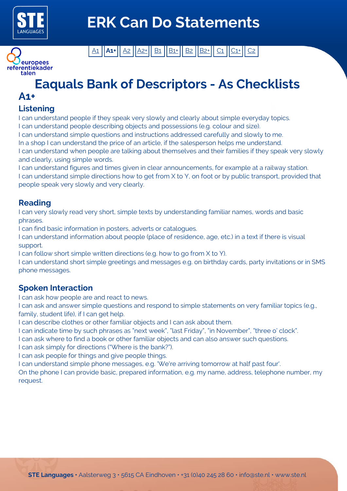<span id="page-3-0"></span>

<u>[A1](#page-1-0)</u>  $\left|\left|\mathbf{A1+}\right|\right|\mathbf{A2}\left|\left|\mathbf{A2+}\right|\right|\mathbf{B1}\left|\left|\mathbf{B1+}\right|\right|\mathbf{B2}\left|\left|\mathbf{B2+}\right|\right|\mathbf{C1}\left|\left|\mathbf{C1+}\right|\right|\mathbf{C2}$  $\left|\left|\mathbf{A1+}\right|\right|\mathbf{A2}\left|\left|\mathbf{A2+}\right|\right|\mathbf{B1}\left|\left|\mathbf{B1+}\right|\right|\mathbf{B2}\left|\left|\mathbf{B2+}\right|\right|\mathbf{C1}\left|\left|\mathbf{C1+}\right|\right|\mathbf{C2}$  $\left|\left|\mathbf{A1+}\right|\right|\mathbf{A2}\left|\left|\mathbf{A2+}\right|\right|\mathbf{B1}\left|\left|\mathbf{B1+}\right|\right|\mathbf{B2}\left|\left|\mathbf{B2+}\right|\right|\mathbf{C1}\left|\left|\mathbf{C1+}\right|\right|\mathbf{C2}$  $\left|\left|\mathbf{A1+}\right|\right|\mathbf{A2}\left|\left|\mathbf{A2+}\right|\right|\mathbf{B1}\left|\left|\mathbf{B1+}\right|\right|\mathbf{B2}\left|\left|\mathbf{B2+}\right|\right|\mathbf{C1}\left|\left|\mathbf{C1+}\right|\right|\mathbf{C2}$  $\left|\left|\mathbf{A1+}\right|\right|\mathbf{A2}\left|\left|\mathbf{A2+}\right|\right|\mathbf{B1}\left|\left|\mathbf{B1+}\right|\right|\mathbf{B2}\left|\left|\mathbf{B2+}\right|\right|\mathbf{C1}\left|\left|\mathbf{C1+}\right|\right|\mathbf{C2}$  $\left|\left|\mathbf{A1+}\right|\right|\mathbf{A2}\left|\left|\mathbf{A2+}\right|\right|\mathbf{B1}\left|\left|\mathbf{B1+}\right|\right|\mathbf{B2}\left|\left|\mathbf{B2+}\right|\right|\mathbf{C1}\left|\left|\mathbf{C1+}\right|\right|\mathbf{C2}$  $\left|\left|\mathbf{A1+}\right|\right|\mathbf{A2}\left|\left|\mathbf{A2+}\right|\right|\mathbf{B1}\left|\left|\mathbf{B1+}\right|\right|\mathbf{B2}\left|\left|\mathbf{B2+}\right|\right|\mathbf{C1}\left|\left|\mathbf{C1+}\right|\right|\mathbf{C2}$  $\left|\left|\mathbf{A1+}\right|\right|\mathbf{A2}\left|\left|\mathbf{A2+}\right|\right|\mathbf{B1}\left|\left|\mathbf{B1+}\right|\right|\mathbf{B2}\left|\left|\mathbf{B2+}\right|\right|\mathbf{C1}\left|\left|\mathbf{C1+}\right|\right|\mathbf{C2}$  $\left|\left|\mathbf{A1+}\right|\right|\mathbf{A2}\left|\left|\mathbf{A2+}\right|\right|\mathbf{B1}\left|\left|\mathbf{B1+}\right|\right|\mathbf{B2}\left|\left|\mathbf{B2+}\right|\right|\mathbf{C1}\left|\left|\mathbf{C1+}\right|\right|\mathbf{C2}$  $\left|\left|\mathbf{A1+}\right|\right|\mathbf{A2}\left|\left|\mathbf{A2+}\right|\right|\mathbf{B1}\left|\left|\mathbf{B1+}\right|\right|\mathbf{B2}\left|\left|\mathbf{B2+}\right|\right|\mathbf{C1}\left|\left|\mathbf{C1+}\right|\right|\mathbf{C2}$  $\left|\left|\mathbf{A1+}\right|\right|\mathbf{A2}\left|\left|\mathbf{A2+}\right|\right|\mathbf{B1}\left|\left|\mathbf{B1+}\right|\right|\mathbf{B2}\left|\left|\mathbf{B2+}\right|\right|\mathbf{C1}\left|\left|\mathbf{C1+}\right|\right|\mathbf{C2}$  $\left|\left|\mathbf{A1+}\right|\right|\mathbf{A2}\left|\left|\mathbf{A2+}\right|\right|\mathbf{B1}\left|\left|\mathbf{B1+}\right|\right|\mathbf{B2}\left|\left|\mathbf{B2+}\right|\right|\mathbf{C1}\left|\left|\mathbf{C1+}\right|\right|\mathbf{C2}$  $\left|\left|\mathbf{A1+}\right|\right|\mathbf{A2}\left|\left|\mathbf{A2+}\right|\right|\mathbf{B1}\left|\left|\mathbf{B1+}\right|\right|\mathbf{B2}\left|\left|\mathbf{B2+}\right|\right|\mathbf{C1}\left|\left|\mathbf{C1+}\right|\right|\mathbf{C2}$  $\left|\left|\mathbf{A1+}\right|\right|\mathbf{A2}\left|\left|\mathbf{A2+}\right|\right|\mathbf{B1}\left|\left|\mathbf{B1+}\right|\right|\mathbf{B2}\left|\left|\mathbf{B2+}\right|\right|\mathbf{C1}\left|\left|\mathbf{C1+}\right|\right|\mathbf{C2}$  $\left|\left|\mathbf{A1+}\right|\right|\mathbf{A2}\left|\left|\mathbf{A2+}\right|\right|\mathbf{B1}\left|\left|\mathbf{B1+}\right|\right|\mathbf{B2}\left|\left|\mathbf{B2+}\right|\right|\mathbf{C1}\left|\left|\mathbf{C1+}\right|\right|\mathbf{C2}$  $\left|\left|\mathbf{A1+}\right|\right|\mathbf{A2}\left|\left|\mathbf{A2+}\right|\right|\mathbf{B1}\left|\left|\mathbf{B1+}\right|\right|\mathbf{B2}\left|\left|\mathbf{B2+}\right|\right|\mathbf{C1}\left|\left|\mathbf{C1+}\right|\right|\mathbf{C2}$  $\left|\left|\mathbf{A1+}\right|\right|\mathbf{A2}\left|\left|\mathbf{A2+}\right|\right|\mathbf{B1}\left|\left|\mathbf{B1+}\right|\right|\mathbf{B2}\left|\left|\mathbf{B2+}\right|\right|\mathbf{C1}\left|\left|\mathbf{C1+}\right|\right|\mathbf{C2}$  $\left|\left|\mathbf{A1+}\right|\right|\mathbf{A2}\left|\left|\mathbf{A2+}\right|\right|\mathbf{B1}\left|\left|\mathbf{B1+}\right|\right|\mathbf{B2}\left|\left|\mathbf{B2+}\right|\right|\mathbf{C1}\left|\left|\mathbf{C1+}\right|\right|\mathbf{C2}$  $\left|\left|\mathbf{A1+}\right|\right|\mathbf{A2}\left|\left|\mathbf{A2+}\right|\right|\mathbf{B1}\left|\left|\mathbf{B1+}\right|\right|\mathbf{B2}\left|\left|\mathbf{B2+}\right|\right|\mathbf{C1}\left|\left|\mathbf{C1+}\right|\right|\mathbf{C2}$ 

europees referentiekader talen

# **Eaquals Bank of Descriptors - As Checklists**

# **A1+**

## **Listening**

I can understand people if they speak very slowly and clearly about simple everyday topics. I can understand people describing objects and possessions (e.g. colour and size).

I can understand simple questions and instructions addressed carefully and slowly to me.

In a shop I can understand the price of an article, if the salesperson helps me understand.

I can understand when people are talking about themselves and their families if they speak very slowly and clearly, using simple words.

I can understand figures and times given in clear announcements, for example at a railway station. I can understand simple directions how to get from X to Y, on foot or by public transport, provided that people speak very slowly and very clearly.

## **Reading**

I can very slowly read very short, simple texts by understanding familiar names, words and basic phrases.

I can find basic information in posters, adverts or catalogues.

I can understand information about people (place of residence, age, etc.) in a text if there is visual support.

I can follow short simple written directions (e.g. how to go from X to Y).

I can understand short simple greetings and messages e.g. on birthday cards, party invitations or in SMS phone messages.

# **Spoken Interaction**

I can ask how people are and react to news.

I can ask and answer simple questions and respond to simple statements on very familiar topics (e.g., family, student life), if I can get help.

I can describe clothes or other familiar objects and I can ask about them.

I can indicate time by such phrases as "next week", "last Friday", "in November", "three o' clock".

I can ask where to find a book or other familiar objects and can also answer such questions.

I can ask simply for directions ("Where is the bank?").

I can ask people for things and give people things.

I can understand simple phone messages, e.g. 'We're arriving tomorrow at half past four'.

On the phone I can provide basic, prepared information, e.g. my name, address, telephone number, my request.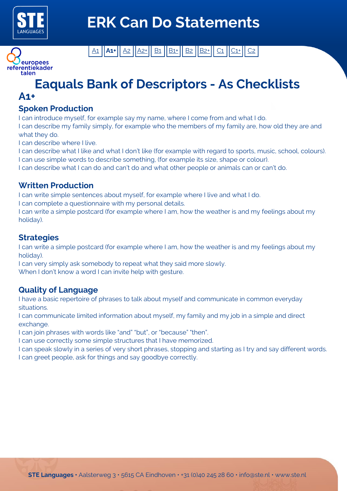

[A1](#page-1-0) **A1+** [A2](#page-5-0) [A2+](#page-7-0) [B1](#page-9-0) [B1+](#page-11-0) [B2](#page-13-0) [B2+](#page-15-0) [C1](#page-17-0) [C1+](#page-19-0) [C2](#page-21-0)



# **Eaquals Bank of Descriptors - As Checklists**

# **A1+**

#### **Spoken Production**

I can introduce myself, for example say my name, where I come from and what I do. I can describe my family simply, for example who the members of my family are, how old they are and what they do.

I can describe where I live.

I can describe what I like and what I don't like (for example with regard to sports, music, school, colours). I can use simple words to describe something, (for example its size, shape or colour).

I can describe what I can do and can't do and what other people or animals can or can't do.

#### **Written Production**

I can write simple sentences about myself, for example where I live and what I do.

I can complete a questionnaire with my personal details.

I can write a simple postcard (for example where I am, how the weather is and my feelings about my holiday).

#### **Strategies**

I can write a simple postcard (for example where I am, how the weather is and my feelings about my holiday).

I can very simply ask somebody to repeat what they said more slowly.

When I don't know a word I can invite help with gesture.

#### **Quality of Language**

I have a basic repertoire of phrases to talk about myself and communicate in common everyday situations.

I can communicate limited information about myself, my family and my job in a simple and direct exchange.

I can join phrases with words like "and" "but", or "because" "then".

I can use correctly some simple structures that I have memorized.

I can speak slowly in a series of very short phrases, stopping and starting as I try and say different words. I can greet people, ask for things and say goodbye correctly.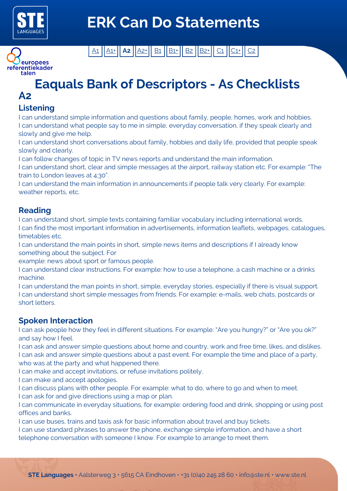<span id="page-5-0"></span>

<u>[A1](#page-1-0) ||[A1+](#page-3-0)|| **A2** ||[A2+](#page-7-0)|| [B1](#page-9-0) ||[B1+](#page-11-0)|| [B2](#page-13-0) ||[B2+](#page-15-0)|| [C1](#page-17-0) ||[C1+](#page-19-0)|| [C2](#page-21-0)</u>

#### europees eferentiekader talen

# **A2 Eaquals Bank of Descriptors - As Checklists**

# **Listening**

I can understand simple information and questions about family, people, homes, work and hobbies. I can understand what people say to me in simple, everyday conversation, if they speak clearly and slowly and give me help.

I can understand short conversations about family, hobbies and daily life, provided that people speak slowly and clearly.

I can follow changes of topic in TV news reports and understand the main information.

I can understand short, clear and simple messages at the airport, railway station etc. For example: "The train to London leaves at 4:30".

I can understand the main information in announcements if people talk very clearly. For example: weather reports, etc.

## **Reading**

I can understand short, simple texts containing familiar vocabulary including international words. I can find the most important information in advertisements, information leaflets, webpages, catalogues, timetables etc.

I can understand the main points in short, simple news items and descriptions if I already know something about the subject. For

example: news about sport or famous people.

I can understand clear instructions. For example: how to use a telephone, a cash machine or a drinks machine.

I can understand the man points in short, simple, everyday stories, especially if there is visual support. I can understand short simple messages from friends. For example: e-mails, web chats, postcards or short letters.

#### **Spoken Interaction**

I can ask people how they feel in different situations. For example: "Are you hungry?" or "Are you ok?" and say how I feel.

I can ask and answer simple questions about home and country, work and free time, likes, and dislikes. I can ask and answer simple questions about a past event. For example the time and place of a party, who was at the party and what happened there.

I can make and accept invitations, or refuse invitations politely.

I can make and accept apologies.

I can discuss plans with other people. For example: what to do, where to go and when to meet. I can ask for and give directions using a map or plan.

I can communicate in everyday situations, for example: ordering food and drink, shopping or using post offices and banks.

I can use buses, trains and taxis ask for basic information about travel and buy tickets.

I can use standard phrases to answer the phone, exchange simple information, and have a short telephone conversation with someone I know. For example to arrange to meet them.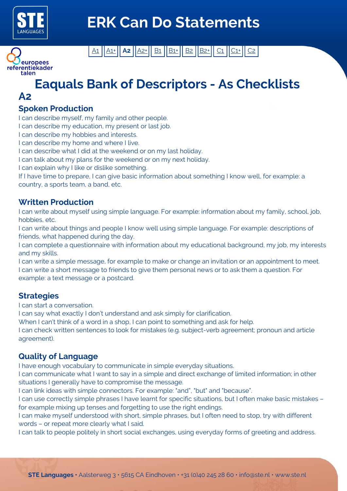

# **ERK Can Do Statements**

<u>[A1](#page-1-0) ||[A1+](#page-3-0)|| **A2** ||[A2+](#page-7-0)|| [B1](#page-9-0) ||[B1+](#page-11-0)|| [B2](#page-13-0) ||[B2+](#page-15-0)|| [C1](#page-17-0) ||[C1+](#page-19-0)|| [C2](#page-21-0)</u>

europees eferentiekader talen

# **A2 Eaquals Bank of Descriptors - As Checklists**

# **Spoken Production**

I can describe myself, my family and other people.

I can describe my education, my present or last job.

I can describe my hobbies and interests.

I can describe my home and where I live.

I can describe what I did at the weekend or on my last holiday.

I can talk about my plans for the weekend or on my next holiday.

I can explain why I like or dislike something.

If I have time to prepare, I can give basic information about something I know well, for example: a country, a sports team, a band, etc.

#### **Written Production**

I can write about myself using simple language. For example: information about my family, school, job, hobbies, etc.

I can write about things and people I know well using simple language. For example: descriptions of friends, what happened during the day.

I can complete a questionnaire with information about my educational background, my job, my interests and my skills.

I can write a simple message, for example to make or change an invitation or an appointment to meet. I can write a short message to friends to give them personal news or to ask them a question. For example: a text message or a postcard.

#### **Strategies**

I can start a conversation.

I can say what exactly I don't understand and ask simply for clarification.

When I can't think of a word in a shop, I can point to something and ask for help.

I can check written sentences to look for mistakes (e.g. subject-verb agreement; pronoun and article agreement).

#### **Quality of Language**

I have enough vocabulary to communicate in simple everyday situations.

I can communicate what I want to say in a simple and direct exchange of limited information; in other situations I generally have to compromise the message.

I can link ideas with simple connectors. For example: "and", "but" and "because".

I can use correctly simple phrases I have learnt for specific situations, but I often make basic mistakes – for example mixing up tenses and forgetting to use the right endings.

I can make myself understood with short, simple phrases, but I often need to stop, try with different words – or repeat more clearly what I said.

I can talk to people politely in short social exchanges, using everyday forms of greeting and address.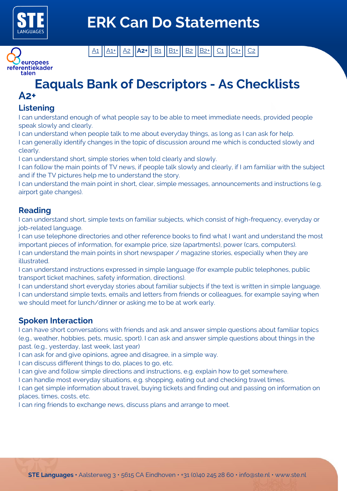<span id="page-7-0"></span>

<u>[A1](#page-1-0) || [A1+](#page-3-0) || [A2](#page-5-0) || **A2+** || [B1](#page-9-0)</u> || <u>[B1+](#page-11-0) || [B2](#page-13-0) || [B2+](#page-15-0)|| [C1](#page-17-0) || [C1+](#page-19-0)|| [C2](#page-21-0)</u>

europees eferentiekader talen

# **A2+ Eaquals Bank of Descriptors - As Checklists**

## **Listening**

I can understand enough of what people say to be able to meet immediate needs, provided people speak slowly and clearly.

I can understand when people talk to me about everyday things, as long as I can ask for help.

I can generally identify changes in the topic of discussion around me which is conducted slowly and clearly.

I can understand short, simple stories when told clearly and slowly.

I can follow the main points of TV news, if people talk slowly and clearly, if I am familiar with the subject and if the TV pictures help me to understand the story.

I can understand the main point in short, clear, simple messages, announcements and instructions (e.g. airport gate changes).

#### **Reading**

I can understand short, simple texts on familiar subjects, which consist of high-frequency, everyday or job-related language.

I can use telephone directories and other reference books to find what I want and understand the most important pieces of information, for example price, size (apartments), power (cars, computers). I can understand the main points in short newspaper / magazine stories, especially when they are illustrated.

I can understand instructions expressed in simple language (for example public telephones, public transport ticket machines, safety information, directions).

I can understand short everyday stories about familiar subjects if the text is written in simple language. I can understand simple texts, emails and letters from friends or colleagues, for example saying when we should meet for lunch/dinner or asking me to be at work early.

#### **Spoken Interaction**

I can have short conversations with friends and ask and answer simple questions about familiar topics (e.g., weather, hobbies, pets, music, sport). I can ask and answer simple questions about things in the past. (e.g., yesterday, last week, last year)

I can ask for and give opinions, agree and disagree, in a simple way.

I can discuss different things to do, places to go, etc.

I can give and follow simple directions and instructions, e.g. explain how to get somewhere.

I can handle most everyday situations, e.g. shopping, eating out and checking travel times.

I can get simple information about travel, buying tickets and finding out and passing on information on places, times, costs, etc.

I can ring friends to exchange news, discuss plans and arrange to meet.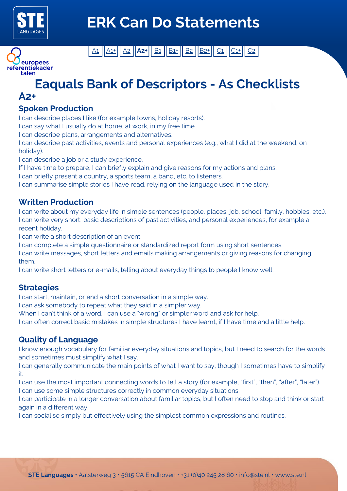

<u>[A1](#page-1-0) || [A1+](#page-3-0) || [A2](#page-5-0)</u> || **A2+** || <u>[B1](#page-9-0)</u> || <u>[B1+](#page-11-0) || [B2](#page-13-0) || [B2+](#page-15-0) || [C1](#page-17-0) || [C1+](#page-19-0) || [C2](#page-21-0)</u>



# **Eaquals Bank of Descriptors - As Checklists**

# **A2+**

## **Spoken Production**

I can describe places I like (for example towns, holiday resorts).

I can say what I usually do at home, at work, in my free time.

I can describe plans, arrangements and alternatives.

I can describe past activities, events and personal experiences (e.g., what I did at the weekend, on holiday).

I can describe a job or a study experience.

If I have time to prepare, I can briefly explain and give reasons for my actions and plans.

I can briefly present a country, a sports team, a band, etc. to listeners.

I can summarise simple stories I have read, relying on the language used in the story.

#### **Written Production**

I can write about my everyday life in simple sentences (people, places, job, school, family, hobbies, etc.). I can write very short, basic descriptions of past activities, and personal experiences, for example a recent holiday.

I can write a short description of an event.

I can complete a simple questionnaire or standardized report form using short sentences.

I can write messages, short letters and emails making arrangements or giving reasons for changing them.

I can write short letters or e-mails, telling about everyday things to people I know well.

#### **Strategies**

I can start, maintain, or end a short conversation in a simple way.

I can ask somebody to repeat what they said in a simpler way.

When I can't think of a word, I can use a "wrong" or simpler word and ask for help.

I can often correct basic mistakes in simple structures I have learnt, if I have time and a little help.

#### **Quality of Language**

I know enough vocabulary for familiar everyday situations and topics, but I need to search for the words and sometimes must simplify what I say.

I can generally communicate the main points of what I want to say, though I sometimes have to simplify it.

I can use the most important connecting words to tell a story (for example, "first", "then", "after", "later"). I can use some simple structures correctly in common everyday situations.

I can participate in a longer conversation about familiar topics, but I often need to stop and think or start again in a different way.

I can socialise simply but effectively using the simplest common expressions and routines.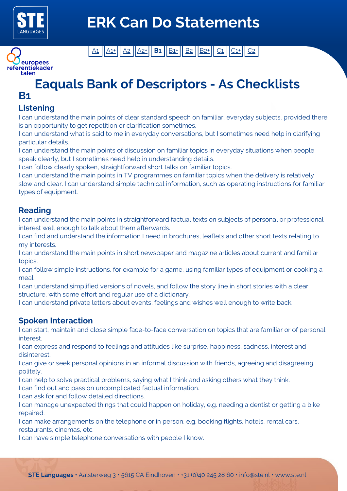<span id="page-9-0"></span>

<u>[A1](#page-1-0) || [A1+](#page-3-0) || [A2](#page-5-0) || [A2+](#page-7-0) || **B1** || [B1+](#page-10-0) || [B2](#page-13-0) || [B2+](#page-15-0) || [C1](#page-17-0) || [C1+](#page-19-0) || [C2](#page-21-0)</u>

## europees referentiekader talen

# **B1 Eaquals Bank of Descriptors - As Checklists**

# **Listening**

I can understand the main points of clear standard speech on familiar, everyday subjects, provided there is an opportunity to get repetition or clarification sometimes.

I can understand what is said to me in everyday conversations, but I sometimes need help in clarifying particular details.

I can understand the main points of discussion on familiar topics in everyday situations when people speak clearly, but I sometimes need help in understanding details.

I can follow clearly spoken, straightforward short talks on familiar topics.

I can understand the main points in TV programmes on familiar topics when the delivery is relatively slow and clear. I can understand simple technical information, such as operating instructions for familiar types of equipment.

# **Reading**

I can understand the main points in straightforward factual texts on subjects of personal or professional interest well enough to talk about them afterwards.

I can find and understand the information I need in brochures, leaflets and other short texts relating to my interests.

I can understand the main points in short newspaper and magazine articles about current and familiar topics.

I can follow simple instructions, for example for a game, using familiar types of equipment or cooking a meal.

I can understand simplified versions of novels, and follow the story line in short stories with a clear structure, with some effort and regular use of a dictionary.

I can understand private letters about events, feelings and wishes well enough to write back.

# **Spoken Interaction**

I can start, maintain and close simple face-to-face conversation on topics that are familiar or of personal interest.

I can express and respond to feelings and attitudes like surprise, happiness, sadness, interest and disinterest.

I can give or seek personal opinions in an informal discussion with friends, agreeing and disagreeing politely.

I can help to solve practical problems, saying what I think and asking others what they think.

I can find out and pass on uncomplicated factual information.

I can ask for and follow detailed directions.

I can manage unexpected things that could happen on holiday, e.g. needing a dentist or getting a bike repaired.

I can make arrangements on the telephone or in person, e.g. booking flights, hotels, rental cars, restaurants, cinemas, etc.

I can have simple telephone conversations with people I know.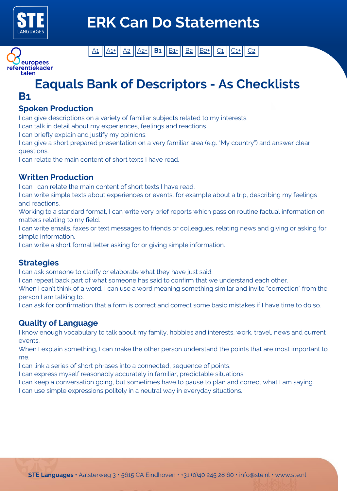<span id="page-10-0"></span>

eferentiekader talen

# **ERK Can Do Statements**

<u>[A1](#page-1-0) || [A1+](#page-3-0) || [A2](#page-5-0) || [A2+](#page-7-0) || **B1** || [B1+](#page-11-0) || [B2](#page-13-0) || [B2+](#page-15-0) || [C1](#page-17-0) || [C1+](#page-19-0) || [C2](#page-21-0)</u> europees

# **Eaquals Bank of Descriptors - As Checklists**

# **B1**

## **Spoken Production**

I can give descriptions on a variety of familiar subjects related to my interests.

I can talk in detail about my experiences, feelings and reactions.

I can briefly explain and justify my opinions.

I can give a short prepared presentation on a very familiar area (e.g. "My country") and answer clear questions.

I can relate the main content of short texts I have read.

#### **Written Production**

I can I can relate the main content of short texts I have read.

I can write simple texts about experiences or events, for example about a trip, describing my feelings and reactions.

Working to a standard format, I can write very brief reports which pass on routine factual information on matters relating to my field.

I can write emails, faxes or text messages to friends or colleagues, relating news and giving or asking for simple information.

I can write a short formal letter asking for or giving simple information.

#### **Strategies**

I can ask someone to clarify or elaborate what they have just said.

I can repeat back part of what someone has said to confirm that we understand each other.

When I can't think of a word, I can use a word meaning something similar and invite "correction" from the person I am talking to.

I can ask for confirmation that a form is correct and correct some basic mistakes if I have time to do so.

#### **Quality of Language**

I know enough vocabulary to talk about my family, hobbies and interests, work, travel, news and current events.

When I explain something, I can make the other person understand the points that are most important to me.

I can link a series of short phrases into a connected, sequence of points.

I can express myself reasonably accurately in familiar, predictable situations.

I can keep a conversation going, but sometimes have to pause to plan and correct what I am saying.

I can use simple expressions politely in a neutral way in everyday situations.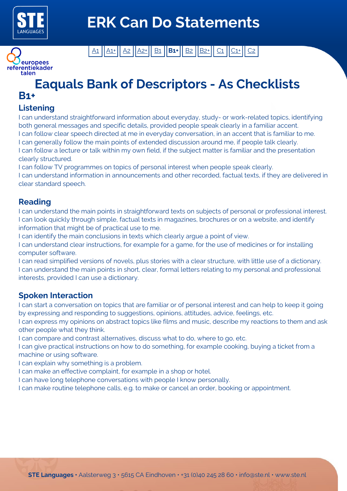<span id="page-11-0"></span>

<u>[A1](#page-1-0) || [A1+](#page-3-0) || [A2](#page-5-0) || [A2+](#page-7-0)|| [B1](#page-9-0)</u> || **B1+** || <u>[B2](#page-13-0) || [B2+](#page-15-0)|| [C1](#page-17-0) || [C1+](#page-19-0)|| [C2](#page-21-0)</u>

# europees<br>referentiekader talen

# **B1+ Eaquals Bank of Descriptors - As Checklists**

## **Listening**

I can understand straightforward information about everyday, study- or work-related topics, identifying both general messages and specific details, provided people speak clearly in a familiar accent. I can follow clear speech directed at me in everyday conversation, in an accent that is familiar to me. I can generally follow the main points of extended discussion around me, if people talk clearly. I can follow a lecture or talk within my own field, if the subject matter is familiar and the presentation clearly structured.

I can follow TV programmes on topics of personal interest when people speak clearly. I can understand information in announcements and other recorded, factual texts, if they are delivered in clear standard speech.

## **Reading**

I can understand the main points in straightforward texts on subjects of personal or professional interest. I can look quickly through simple, factual texts in magazines, brochures or on a website, and identify information that might be of practical use to me.

I can identify the main conclusions in texts which clearly argue a point of view.

I can understand clear instructions, for example for a game, for the use of medicines or for installing computer software.

I can read simplified versions of novels, plus stories with a clear structure, with little use of a dictionary. I can understand the main points in short, clear, formal letters relating to my personal and professional interests, provided I can use a dictionary.

#### **Spoken Interaction**

I can start a conversation on topics that are familiar or of personal interest and can help to keep it going by expressing and responding to suggestions, opinions, attitudes, advice, feelings, etc.

I can express my opinions on abstract topics like films and music, describe my reactions to them and ask other people what they think.

I can compare and contrast alternatives, discuss what to do, where to go, etc.

I can give practical instructions on how to do something, for example cooking, buying a ticket from a machine or using software.

I can explain why something is a problem.

I can make an effective complaint, for example in a shop or hotel.

I can have long telephone conversations with people I know personally.

I can make routine telephone calls, e.g. to make or cancel an order, booking or appointment.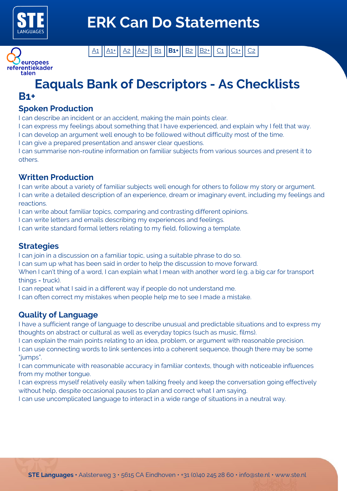





# **Eaquals Bank of Descriptors - As Checklists**

#### **B1+**

#### **Spoken Production**

I can describe an incident or an accident, making the main points clear.

I can express my feelings about something that I have experienced, and explain why I felt that way. I can develop an argument well enough to be followed without difficulty most of the time.

I can give a prepared presentation and answer clear questions.

I can summarise non-routine information on familiar subjects from various sources and present it to others.

#### **Written Production**

I can write about a variety of familiar subjects well enough for others to follow my story or argument. I can write a detailed description of an experience, dream or imaginary event, including my feelings and reactions.

I can write about familiar topics, comparing and contrasting different opinions.

I can write letters and emails describing my experiences and feelings.

I can write standard formal letters relating to my field, following a template.

#### **Strategies**

I can join in a discussion on a familiar topic, using a suitable phrase to do so.

I can sum up what has been said in order to help the discussion to move forward.

When I can't thing of a word, I can explain what I mean with another word (e.g. a big car for transport things = truck).

I can repeat what I said in a different way if people do not understand me.

I can often correct my mistakes when people help me to see I made a mistake.

#### **Quality of Language**

I have a sufficient range of language to describe unusual and predictable situations and to express my thoughts on abstract or cultural as well as everyday topics (such as music, films).

I can explain the main points relating to an idea, problem, or argument with reasonable precision. I can use connecting words to link sentences into a coherent sequence, though there may be some "jumps".

I can communicate with reasonable accuracy in familiar contexts, though with noticeable influences from my mother tongue.

I can express myself relatively easily when talking freely and keep the conversation going effectively without help, despite occasional pauses to plan and correct what I am saying.

I can use uncomplicated language to interact in a wide range of situations in a neutral way.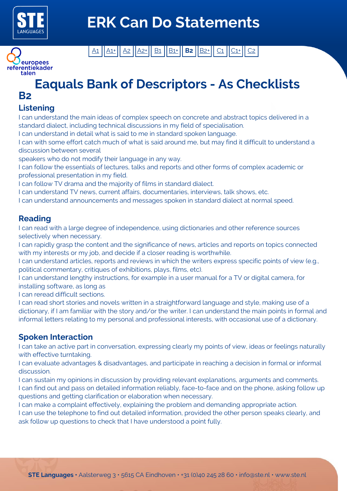<span id="page-13-0"></span>

<u>[A1](#page-1-0) || [A1+](#page-3-0) || [A2](#page-5-0) || [A2+](#page-7-0)|| [B1](#page-9-0) || [B1+](#page-11-0)|| **B2** || [B2+](#page-15-0)|| [C1](#page-17-0) || [C1+](#page-19-0)|| [C2](#page-21-0)</u>

europees eferentiekader talen

# **B2 Eaquals Bank of Descriptors - As Checklists**

#### **Listening**

I can understand the main ideas of complex speech on concrete and abstract topics delivered in a standard dialect, including technical discussions in my field of specialisation.

I can understand in detail what is said to me in standard spoken language.

I can with some effort catch much of what is said around me, but may find it difficult to understand a discussion between several

speakers who do not modify their language in any way.

I can follow the essentials of lectures, talks and reports and other forms of complex academic or professional presentation in my field.

I can follow TV drama and the majority of films in standard dialect.

I can understand TV news, current affairs, documentaries, interviews, talk shows, etc.

I can understand announcements and messages spoken in standard dialect at normal speed.

#### **Reading**

I can read with a large degree of independence, using dictionaries and other reference sources selectively when necessary.

I can rapidly grasp the content and the significance of news, articles and reports on topics connected with my interests or my job, and decide if a closer reading is worthwhile.

I can understand articles, reports and reviews in which the writers express specific points of view (e.g., political commentary, critiques of exhibitions, plays, films, etc).

I can understand lengthy instructions, for example in a user manual for a TV or digital camera, for installing software, as long as

I can reread difficult sections.

I can read short stories and novels written in a straightforward language and style, making use of a dictionary, if I am familiar with the story and/or the writer. I can understand the main points in formal and informal letters relating to my personal and professional interests, with occasional use of a dictionary.

#### **Spoken Interaction**

I can take an active part in conversation, expressing clearly my points of view, ideas or feelings naturally with effective turntaking.

I can evaluate advantages & disadvantages, and participate in reaching a decision in formal or informal discussion.

I can sustain my opinions in discussion by providing relevant explanations, arguments and comments. I can find out and pass on detailed information reliably, face-to-face and on the phone, asking follow up questions and getting clarification or elaboration when necessary.

I can make a complaint effectively, explaining the problem and demanding appropriate action.

I can use the telephone to find out detailed information, provided the other person speaks clearly, and ask follow up questions to check that I have understood a point fully.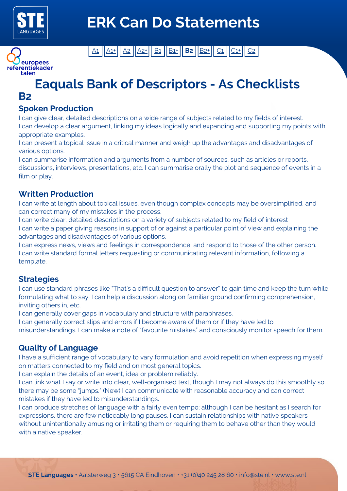

<u>[A1](#page-1-0) || [A1+](#page-3-0) || [A2](#page-5-0) || [A2+](#page-7-0)|| [B1](#page-9-0) || [B1+](#page-11-0)|| **B2** || [B2+](#page-15-0)|| [C1](#page-17-0) || [C1+](#page-19-0)|| [C2](#page-21-0)</u>

#### europees eferentiekader talen

# **B2 Eaquals Bank of Descriptors - As Checklists**

# **Spoken Production**

I can give clear, detailed descriptions on a wide range of subjects related to my fields of interest. I can develop a clear argument, linking my ideas logically and expanding and supporting my points with appropriate examples.

I can present a topical issue in a critical manner and weigh up the advantages and disadvantages of various options.

I can summarise information and arguments from a number of sources, such as articles or reports, discussions, interviews, presentations, etc. I can summarise orally the plot and sequence of events in a film or play.

# **Written Production**

I can write at length about topical issues, even though complex concepts may be oversimplified, and can correct many of my mistakes in the process.

I can write clear, detailed descriptions on a variety of subjects related to my field of interest I can write a paper giving reasons in support of or against a particular point of view and explaining the advantages and disadvantages of various options.

I can express news, views and feelings in correspondence, and respond to those of the other person. I can write standard formal letters requesting or communicating relevant information, following a template.

# **Strategies**

I can use standard phrases like "That's a difficult question to answer" to gain time and keep the turn while formulating what to say. I can help a discussion along on familiar ground confirming comprehension, inviting others in, etc.

I can generally cover gaps in vocabulary and structure with paraphrases.

I can generally correct slips and errors if I become aware of them or if they have led to misunderstandings. I can make a note of "favourite mistakes" and consciously monitor speech for them.

# **Quality of Language**

I have a sufficient range of vocabulary to vary formulation and avoid repetition when expressing myself on matters connected to my field and on most general topics.

I can explain the details of an event, idea or problem reliably.

I can link what I say or write into clear, well-organised text, though I may not always do this smoothly so there may be some "jumps." (New) I can communicate with reasonable accuracy and can correct mistakes if they have led to misunderstandings.

I can produce stretches of language with a fairly even tempo; although I can be hesitant as I search for expressions, there are few noticeably long pauses. I can sustain relationships with native speakers without unintentionally amusing or irritating them or requiring them to behave other than they would with a native speaker.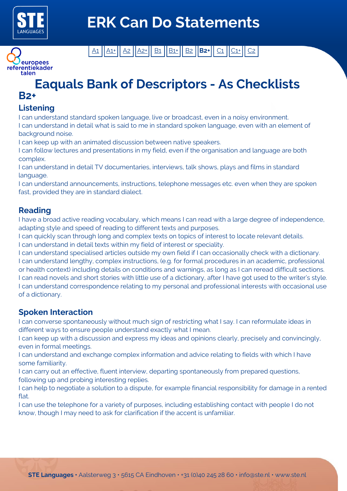<span id="page-15-0"></span>

<u>[A1](#page-1-0) || [A1+](#page-3-0) || [A2](#page-5-0) || [A2+](#page-7-0)|| [B1](#page-9-0) || [B1+](#page-11-0)|| [B2](#page-13-0) || **B2+**|| [C1](#page-17-0) || [C1+](#page-19-0)|| [C2](#page-21-0)</u>

europees eferentiekader talen

# **B2+ Eaquals Bank of Descriptors - As Checklists**

#### **Listening**

I can understand standard spoken language, live or broadcast, even in a noisy environment. I can understand in detail what is said to me in standard spoken language, even with an element of background noise.

I can keep up with an animated discussion between native speakers.

I can follow lectures and presentations in my field, even if the organisation and language are both complex.

I can understand in detail TV documentaries, interviews, talk shows, plays and films in standard language.

I can understand announcements, instructions, telephone messages etc. even when they are spoken fast, provided they are in standard dialect.

#### **Reading**

I have a broad active reading vocabulary, which means I can read with a large degree of independence, adapting style and speed of reading to different texts and purposes.

I can quickly scan through long and complex texts on topics of interest to locate relevant details.

I can understand in detail texts within my field of interest or speciality.

I can understand specialised articles outside my own field if I can occasionally check with a dictionary. I can understand lengthy, complex instructions, (e.g. for formal procedures in an academic, professional or health context) including details on conditions and warnings, as long as I can reread difficult sections. I can read novels and short stories with little use of a dictionary, after I have got used to the writer's style. I can understand correspondence relating to my personal and professional interests with occasional use of a dictionary.

#### **Spoken Interaction**

I can converse spontaneously without much sign of restricting what I say. I can reformulate ideas in different ways to ensure people understand exactly what I mean.

I can keep up with a discussion and express my ideas and opinions clearly, precisely and convincingly, even in formal meetings.

I can understand and exchange complex information and advice relating to fields with which I have some familiarity.

I can carry out an effective, fluent interview, departing spontaneously from prepared questions, following up and probing interesting replies.

I can help to negotiate a solution to a dispute, for example financial responsibility for damage in a rented flat.

I can use the telephone for a variety of purposes, including establishing contact with people I do not know, though I may need to ask for clarification if the accent is unfamiliar.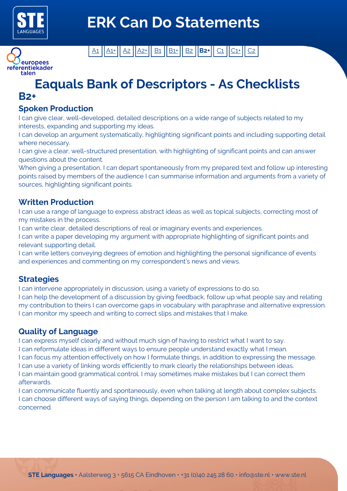

<u>[A1](#page-1-0) || [A1+](#page-3-0) || [A2](#page-5-0) || [A2+](#page-7-0)|| [B1](#page-9-0) || [B1+](#page-11-0)|| [B2](#page-13-0) || **B2+**|| [C1](#page-17-0) || [C1+](#page-19-0)|| [C2](#page-21-0)</u>

europees referentiekader talen

# **Eaquals Bank of Descriptors - As Checklists**

#### **B2+**

## **Spoken Production**

I can give clear, well-developed, detailed descriptions on a wide range of subjects related to my interests, expanding and supporting my ideas.

I can develop an argument systematically, highlighting significant points and including supporting detail where necessary.

I can give a clear, well-structured presentation, with highlighting of significant points and can answer questions about the content.

When giving a presentation, I can depart spontaneously from my prepared text and follow up interesting points raised by members of the audience I can summarise information and arguments from a variety of sources, highlighting significant points.

#### **Written Production**

I can use a range of language to express abstract ideas as well as topical subjects, correcting most of my mistakes in the process.

I can write clear, detailed descriptions of real or imaginary events and experiences.

I can write a paper developing my argument with appropriate highlighting of significant points and relevant supporting detail.

I can write letters conveying degrees of emotion and highlighting the personal significance of events and experiences and commenting on my correspondent's news and views.

#### **Strategies**

I can intervene appropriately in discussion, using a variety of expressions to do so. I can help the development of a discussion by giving feedback, follow up what people say and relating my contribution to theirs I can overcome gaps in vocabulary with paraphrase and alternative expression. I can monitor my speech and writing to correct slips and mistakes that I make.

#### **Quality of Language**

I can express myself clearly and without much sign of having to restrict what I want to say.

I can reformulate ideas in different ways to ensure people understand exactly what I mean.

I can focus my attention effectively on how I formulate things, in addition to expressing the message. I can use a variety of linking words efficiently to mark clearly the relationships between ideas. I can maintain good grammatical control. I may sometimes make mistakes but I can correct them

afterwards.

I can communicate fluently and spontaneously, even when talking at length about complex subjects. I can choose different ways of saying things, depending on the person I am talking to and the context concerned.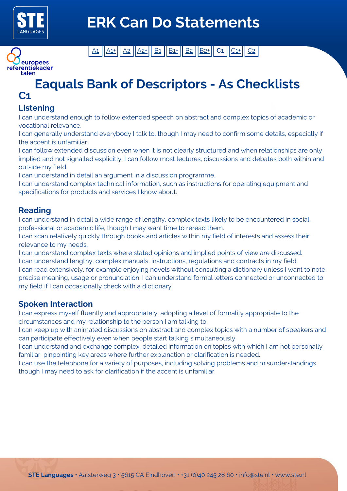<span id="page-17-0"></span>

<u>[A1](#page-1-0) || [A1+](#page-3-0) || [A2](#page-5-0) || [A2+](#page-7-0)|| [B1](#page-9-0) || [B1+](#page-11-0)|| [B2](#page-13-0) || [B2+](#page-15-0)|| C1 || [C1+](#page-19-0)|| [C2](#page-21-0)</u>

europees referentiekader talen

# **C1 Eaquals Bank of Descriptors - As Checklists**

## **Listening**

I can understand enough to follow extended speech on abstract and complex topics of academic or vocational relevance.

I can generally understand everybody I talk to, though I may need to confirm some details, especially if the accent is unfamiliar.

I can follow extended discussion even when it is not clearly structured and when relationships are only implied and not signalled explicitly. I can follow most lectures, discussions and debates both within and outside my field.

I can understand in detail an argument in a discussion programme.

I can understand complex technical information, such as instructions for operating equipment and specifications for products and services I know about.

#### **Reading**

I can understand in detail a wide range of lengthy, complex texts likely to be encountered in social, professional or academic life, though I may want time to reread them.

I can scan relatively quickly through books and articles within my field of interests and assess their relevance to my needs.

I can understand complex texts where stated opinions and implied points of view are discussed. I can understand lengthy, complex manuals, instructions, regulations and contracts in my field.

I can read extensively, for example enjoying novels without consulting a dictionary unless I want to note precise meaning, usage or pronunciation. I can understand formal letters connected or unconnected to my field if I can occasionally check with a dictionary.

#### **Spoken Interaction**

I can express myself fluently and appropriately, adopting a level of formality appropriate to the circumstances and my relationship to the person I am talking to.

I can keep up with animated discussions on abstract and complex topics with a number of speakers and can participate effectively even when people start talking simultaneously.

I can understand and exchange complex, detailed information on topics with which I am not personally familiar, pinpointing key areas where further explanation or clarification is needed.

I can use the telephone for a variety of purposes, including solving problems and misunderstandings though I may need to ask for clarification if the accent is unfamiliar.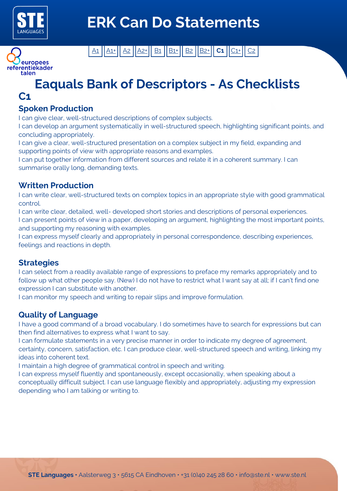

<u>[A1](#page-1-0) || [A1+](#page-3-0) || [A2](#page-5-0) || [A2+](#page-7-0)|| [B1](#page-9-0) || [B1+](#page-11-0)|| [B2](#page-13-0) || [B2+](#page-15-0)|| **C1** || [C1+](#page-19-0)|| [C2](#page-21-0)</u>

#### europees eferentiekader talen

# **Eaquals Bank of Descriptors - As Checklists**

# **C1**

# **Spoken Production**

I can give clear, well-structured descriptions of complex subjects.

I can develop an argument systematically in well-structured speech, highlighting significant points, and concluding appropriately.

I can give a clear, well-structured presentation on a complex subject in my field, expanding and supporting points of view with appropriate reasons and examples.

I can put together information from different sources and relate it in a coherent summary. I can summarise orally long, demanding texts.

## **Written Production**

I can write clear, well-structured texts on complex topics in an appropriate style with good grammatical control.

I can write clear, detailed, well- developed short stories and descriptions of personal experiences. I can present points of view in a paper, developing an argument, highlighting the most important points, and supporting my reasoning with examples.

I can express myself clearly and appropriately in personal correspondence, describing experiences, feelings and reactions in depth.

# **Strategies**

I can select from a readily available range of expressions to preface my remarks appropriately and to follow up what other people say. (New) I do not have to restrict what I want say at all; if I can't find one expression I can substitute with another.

I can monitor my speech and writing to repair slips and improve formulation.

# **Quality of Language**

I have a good command of a broad vocabulary. I do sometimes have to search for expressions but can then find alternatives to express what I want to say.

I can formulate statements in a very precise manner in order to indicate my degree of agreement, certainty, concern, satisfaction, etc. I can produce clear, well-structured speech and writing, linking my ideas into coherent text.

I maintain a high degree of grammatical control in speech and writing.

I can express myself fluently and spontaneously, except occasionally, when speaking about a conceptually difficult subject. I can use language flexibly and appropriately, adjusting my expression depending who I am talking or writing to.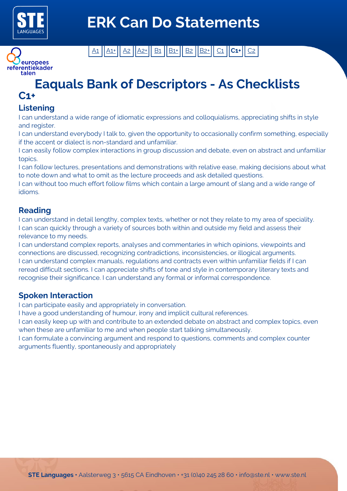<span id="page-19-0"></span>

<u>[A1](#page-1-0) || [A1+](#page-3-0) || [A2](#page-5-0) || [A2+](#page-7-0)|| [B1](#page-9-0) || [B1+](#page-11-0)|| [B2](#page-13-0) || [B2+](#page-15-0)|| [C1](#page-17-0)</u> || **C1+** || <u>[C2](#page-21-0)</u>

#### europees referentiekader talen

# **C1+ Eaquals Bank of Descriptors - As Checklists**

# **Listening**

I can understand a wide range of idiomatic expressions and colloquialisms, appreciating shifts in style and register.

I can understand everybody I talk to, given the opportunity to occasionally confirm something, especially if the accent or dialect is non-standard and unfamiliar.

I can easily follow complex interactions in group discussion and debate, even on abstract and unfamiliar topics.

I can follow lectures, presentations and demonstrations with relative ease, making decisions about what to note down and what to omit as the lecture proceeds and ask detailed questions.

I can without too much effort follow films which contain a large amount of slang and a wide range of idioms.

## **Reading**

I can understand in detail lengthy, complex texts, whether or not they relate to my area of speciality. I can scan quickly through a variety of sources both within and outside my field and assess their relevance to my needs.

I can understand complex reports, analyses and commentaries in which opinions, viewpoints and connections are discussed, recognizing contradictions, inconsistencies, or illogical arguments. I can understand complex manuals, regulations and contracts even within unfamiliar fields if I can reread difficult sections. I can appreciate shifts of tone and style in contemporary literary texts and recognise their significance. I can understand any formal or informal correspondence.

#### **Spoken Interaction**

I can participate easily and appropriately in conversation.

I have a good understanding of humour, irony and implicit cultural references.

I can easily keep up with and contribute to an extended debate on abstract and complex topics, even when these are unfamiliar to me and when people start talking simultaneously.

I can formulate a convincing argument and respond to questions, comments and complex counter arguments fluently, spontaneously and appropriately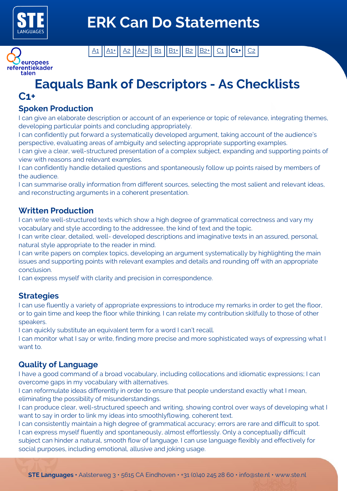

<u>[A1](#page-1-0) || [A1+](#page-3-0) || [A2](#page-5-0) || [A2+](#page-7-0)|| [B1](#page-9-0) || [B1+](#page-11-0)|| [B2](#page-13-0) || [B2+](#page-15-0)|| [C1](#page-17-0)</u> || **C1+** || <u>[C2](#page-21-0)</u>



# **Eaquals Bank of Descriptors - As Checklists**

# **C1+**

## **Spoken Production**

I can give an elaborate description or account of an experience or topic of relevance, integrating themes, developing particular points and concluding appropriately.

I can confidently put forward a systematically developed argument, taking account of the audience's perspective, evaluating areas of ambiguity and selecting appropriate supporting examples.

I can give a clear, well-structured presentation of a complex subject, expanding and supporting points of view with reasons and relevant examples.

I can confidently handle detailed questions and spontaneously follow up points raised by members of the audience.

I can summarise orally information from different sources, selecting the most salient and relevant ideas, and reconstructing arguments in a coherent presentation.

#### **Written Production**

I can write well-structured texts which show a high degree of grammatical correctness and vary my vocabulary and style according to the addressee, the kind of text and the topic.

I can write clear, detailed, well- developed descriptions and imaginative texts in an assured, personal, natural style appropriate to the reader in mind.

I can write papers on complex topics, developing an argument systematically by highlighting the main issues and supporting points with relevant examples and details and rounding off with an appropriate conclusion.

I can express myself with clarity and precision in correspondence.

#### **Strategies**

I can use fluently a variety of appropriate expressions to introduce my remarks in order to get the floor, or to gain time and keep the floor while thinking. I can relate my contribution skilfully to those of other speakers.

I can quickly substitute an equivalent term for a word I can't recall.

I can monitor what I say or write, finding more precise and more sophisticated ways of expressing what I want to.

# **Quality of Language**

I have a good command of a broad vocabulary, including collocations and idiomatic expressions; I can overcome gaps in my vocabulary with alternatives.

I can reformulate ideas differently in order to ensure that people understand exactly what I mean, eliminating the possibility of misunderstandings.

I can produce clear, well-structured speech and writing, showing control over ways of developing what I want to say in order to link my ideas into smoothlyflowing, coherent text.

I can consistently maintain a high degree of grammatical accuracy; errors are rare and difficult to spot. I can express myself fluently and spontaneously, almost effortlessly. Only a conceptually difficult subject can hinder a natural, smooth flow of language. I can use language flexibly and effectively for social purposes, including emotional, allusive and joking usage.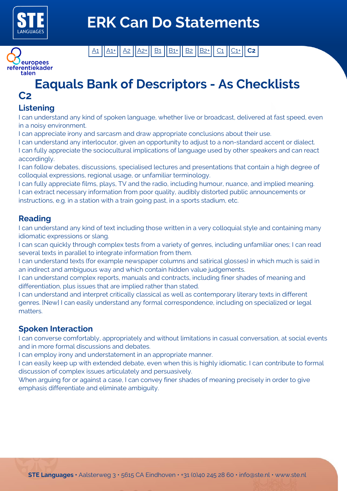<span id="page-21-0"></span>

<u>[A1](#page-1-0) || [A1+](#page-3-0) || [A2](#page-5-0) || [A2+](#page-7-0)|| [B1](#page-9-0) || [B1+](#page-11-0)|| [B2](#page-13-0) || [B2+](#page-15-0)|| [C1](#page-17-0) || [C1+](#page-19-0)|| C2</u>

#### europees referentiekader talen

# **C2 Eaquals Bank of Descriptors - As Checklists**

## **Listening**

I can understand any kind of spoken language, whether live or broadcast, delivered at fast speed, even in a noisy environment.

I can appreciate irony and sarcasm and draw appropriate conclusions about their use.

I can understand any interlocutor, given an opportunity to adjust to a non-standard accent or dialect. I can fully appreciate the sociocultural implications of language used by other speakers and can react accordingly.

I can follow debates, discussions, specialised lectures and presentations that contain a high degree of colloquial expressions, regional usage, or unfamiliar terminology.

I can fully appreciate films, plays, TV and the radio, including humour, nuance, and implied meaning. I can extract necessary information from poor quality, audibly distorted public announcements or instructions, e.g. in a station with a train going past, in a sports stadium, etc.

## **Reading**

I can understand any kind of text including those written in a very colloquial style and containing many idiomatic expressions or slang.

I can scan quickly through complex tests from a variety of genres, including unfamiliar ones; I can read several texts in parallel to integrate information from them.

I can understand texts (for example newspaper columns and satirical glosses) in which much is said in an indirect and ambiguous way and which contain hidden value judgements.

I can understand complex reports, manuals and contracts, including finer shades of meaning and differentiation, plus issues that are implied rather than stated.

I can understand and interpret critically classical as well as contemporary literary texts in different genres. [New] I can easily understand any formal correspondence, including on specialized or legal matters.

#### **Spoken Interaction**

I can converse comfortably, appropriately and without limitations in casual conversation, at social events and in more formal discussions and debates.

I can employ irony and understatement in an appropriate manner.

I can easily keep up with extended debate, even when this is highly idiomatic. I can contribute to formal discussion of complex issues articulately and persuasively.

When arguing for or against a case, I can convey finer shades of meaning precisely in order to give emphasis differentiate and eliminate ambiguity.